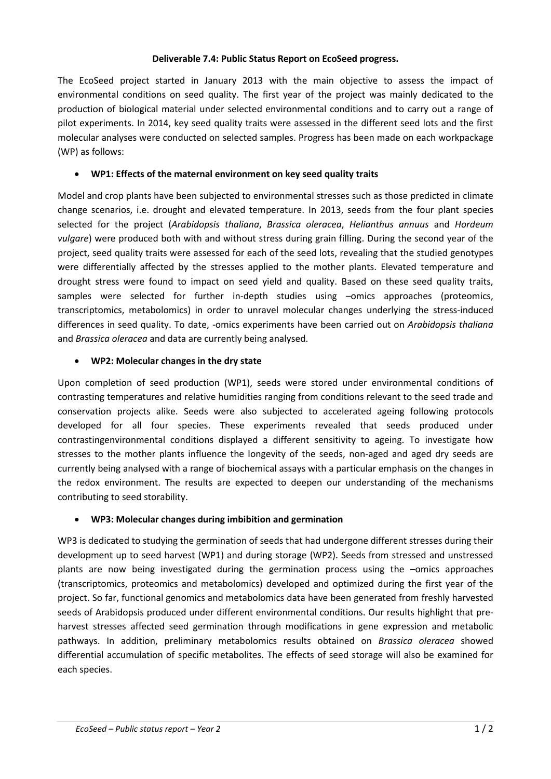#### **Deliverable 7.4: Public Status Report on EcoSeed progress.**

The EcoSeed project started in January 2013 with the main objective to assess the impact of environmental conditions on seed quality. The first year of the project was mainly dedicated to the production of biological material under selected environmental conditions and to carry out a range of pilot experiments. In 2014, key seed quality traits were assessed in the different seed lots and the first molecular analyses were conducted on selected samples. Progress has been made on each workpackage (WP) as follows:

## **WP1: Effects of the maternal environment on key seed quality traits**

Model and crop plants have been subjected to environmental stresses such as those predicted in climate change scenarios, i.e. drought and elevated temperature. In 2013, seeds from the four plant species selected for the project (*Arabidopsis thaliana*, *Brassica oleracea*, *Helianthus annuus* and *Hordeum vulgare*) were produced both with and without stress during grain filling. During the second year of the project, seed quality traits were assessed for each of the seed lots, revealing that the studied genotypes were differentially affected by the stresses applied to the mother plants. Elevated temperature and drought stress were found to impact on seed yield and quality. Based on these seed quality traits, samples were selected for further in-depth studies using –omics approaches (proteomics, transcriptomics, metabolomics) in order to unravel molecular changes underlying the stress-induced differences in seed quality. To date, -omics experiments have been carried out on *Arabidopsis thaliana* and *Brassica oleracea* and data are currently being analysed.

## **WP2: Molecular changes in the dry state**

Upon completion of seed production (WP1), seeds were stored under environmental conditions of contrasting temperatures and relative humidities ranging from conditions relevant to the seed trade and conservation projects alike. Seeds were also subjected to accelerated ageing following protocols developed for all four species. These experiments revealed that seeds produced under contrastingenvironmental conditions displayed a different sensitivity to ageing. To investigate how stresses to the mother plants influence the longevity of the seeds, non-aged and aged dry seeds are currently being analysed with a range of biochemical assays with a particular emphasis on the changes in the redox environment. The results are expected to deepen our understanding of the mechanisms contributing to seed storability.

#### **WP3: Molecular changes during imbibition and germination**

WP3 is dedicated to studying the germination of seeds that had undergone different stresses during their development up to seed harvest (WP1) and during storage (WP2). Seeds from stressed and unstressed plants are now being investigated during the germination process using the –omics approaches (transcriptomics, proteomics and metabolomics) developed and optimized during the first year of the project. So far, functional genomics and metabolomics data have been generated from freshly harvested seeds of Arabidopsis produced under different environmental conditions. Our results highlight that preharvest stresses affected seed germination through modifications in gene expression and metabolic pathways. In addition, preliminary metabolomics results obtained on *Brassica oleracea* showed differential accumulation of specific metabolites. The effects of seed storage will also be examined for each species.